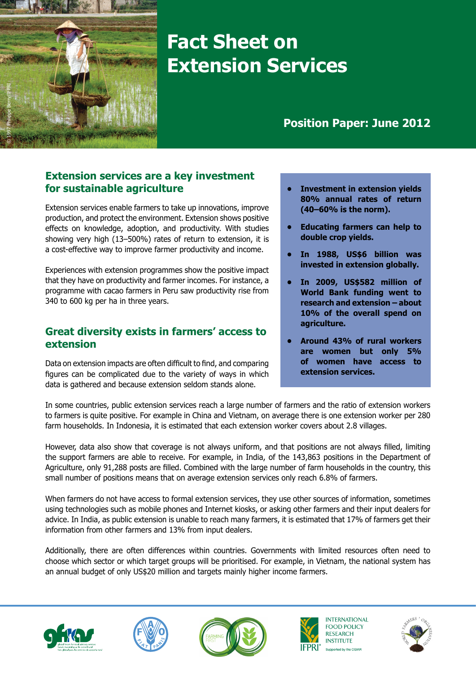

# **Fact Sheet on Extension Services**

## **Position Paper: June 2012**

### **Extension services are a key investment for sustainable agriculture**

Extension services enable farmers to take up innovations, improve production, and protect the environment. Extension shows positive effects on knowledge, adoption, and productivity. With studies showing very high (13–500%) rates of return to extension, it is a cost-effective way to improve farmer productivity and income.

Experiences with extension programmes show the positive impact that they have on productivity and farmer incomes. For instance, a programme with cacao farmers in Peru saw productivity rise from 340 to 600 kg per ha in three years.

#### **Great diversity exists in farmers' access to extension**

Data on extension impacts are often difficult to find, and comparing figures can be complicated due to the variety of ways in which data is gathered and because extension seldom stands alone.

- **• Investment in extension yields 80% annual rates of return (40–60% is the norm).**
- **• Educating farmers can help to double crop yields.**
- **• In 1988, US\$6 billion was invested in extension globally.**
- **• In 2009, US\$582 million of World Bank funding went to research and extension – about 10% of the overall spend on agriculture.**
- **• Around 43% of rural workers are women but only 5% of women have access to extension services.**

In some countries, public extension services reach a large number of farmers and the ratio of extension workers to farmers is quite positive. For example in China and Vietnam, on average there is one extension worker per 280 farm households. In Indonesia, it is estimated that each extension worker covers about 2.8 villages.

However, data also show that coverage is not always uniform, and that positions are not always filled, limiting the support farmers are able to receive. For example, in India, of the 143,863 positions in the Department of Agriculture, only 91,288 posts are filled. Combined with the large number of farm households in the country, this small number of positions means that on average extension services only reach 6.8% of farmers.

When farmers do not have access to formal extension services, they use other sources of information, sometimes using technologies such as mobile phones and Internet kiosks, or asking other farmers and their input dealers for advice. In India, as public extension is unable to reach many farmers, it is estimated that 17% of farmers get their information from other farmers and 13% from input dealers.

Additionally, there are often differences within countries. Governments with limited resources often need to choose which sector or which target groups will be prioritised. For example, in Vietnam, the national system has an annual budget of only US\$20 million and targets mainly higher income farmers.